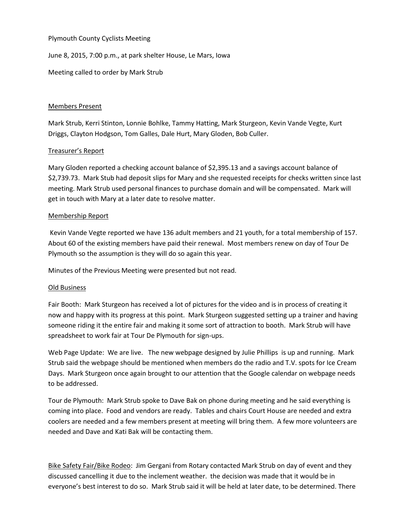#### Plymouth County Cyclists Meeting

June 8, 2015, 7:00 p.m., at park shelter House, Le Mars, Iowa

Meeting called to order by Mark Strub

## Members Present

Mark Strub, Kerri Stinton, Lonnie Bohlke, Tammy Hatting, Mark Sturgeon, Kevin Vande Vegte, Kurt Driggs, Clayton Hodgson, Tom Galles, Dale Hurt, Mary Gloden, Bob Culler.

# Treasurer's Report

Mary Gloden reported a checking account balance of \$2,395.13 and a savings account balance of \$2,739.73. Mark Stub had deposit slips for Mary and she requested receipts for checks written since last meeting. Mark Strub used personal finances to purchase domain and will be compensated. Mark will get in touch with Mary at a later date to resolve matter.

## Membership Report

Kevin Vande Vegte reported we have 136 adult members and 21 youth, for a total membership of 157. About 60 of the existing members have paid their renewal. Most members renew on day of Tour De Plymouth so the assumption is they will do so again this year.

Minutes of the Previous Meeting were presented but not read.

#### Old Business

Fair Booth: Mark Sturgeon has received a lot of pictures for the video and is in process of creating it now and happy with its progress at this point. Mark Sturgeon suggested setting up a trainer and having someone riding it the entire fair and making it some sort of attraction to booth. Mark Strub will have spreadsheet to work fair at Tour De Plymouth for sign-ups.

Web Page Update: We are live. The new webpage designed by Julie Phillips is up and running. Mark Strub said the webpage should be mentioned when members do the radio and T.V. spots for Ice Cream Days. Mark Sturgeon once again brought to our attention that the Google calendar on webpage needs to be addressed.

Tour de Plymouth: Mark Strub spoke to Dave Bak on phone during meeting and he said everything is coming into place. Food and vendors are ready. Tables and chairs Court House are needed and extra coolers are needed and a few members present at meeting will bring them. A few more volunteers are needed and Dave and Kati Bak will be contacting them.

Bike Safety Fair/Bike Rodeo: Jim Gergani from Rotary contacted Mark Strub on day of event and they discussed cancelling it due to the inclement weather. the decision was made that it would be in everyone's best interest to do so. Mark Strub said it will be held at later date, to be determined. There